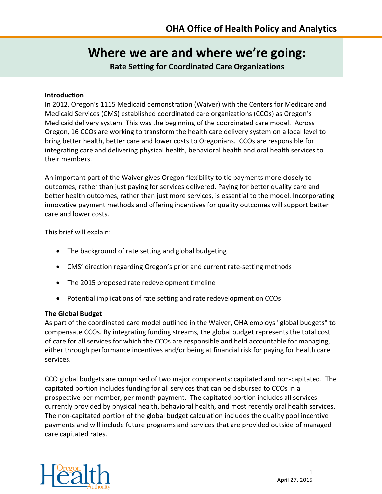# **Where we are and where we're going:**

**Rate Setting for Coordinated Care Organizations**

#### **Introduction**

In 2012, Oregon's 1115 Medicaid demonstration (Waiver) with the Centers for Medicare and Medicaid Services (CMS) established coordinated care organizations (CCOs) as Oregon's Medicaid delivery system. This was the beginning of the coordinated care model. Across Oregon, 16 CCOs are working to transform the health care delivery system on a local level to bring better health, better care and lower costs to Oregonians. CCOs are responsible for integrating care and delivering physical health, behavioral health and oral health services to their members.

An important part of the Waiver gives Oregon flexibility to tie payments more closely to outcomes, rather than just paying for services delivered. Paying for better quality care and better health outcomes, rather than just more services, is essential to the model. Incorporating innovative payment methods and offering incentives for quality outcomes will support better care and lower costs.

This brief will explain:

- The background of rate setting and global budgeting
- CMS' direction regarding Oregon's prior and current rate-setting methods
- The 2015 proposed rate redevelopment timeline
- Potential implications of rate setting and rate redevelopment on CCOs

## **The Global Budget**

As part of the coordinated care model outlined in the Waiver, OHA employs "global budgets" to compensate CCOs. By integrating funding streams, the global budget represents the total cost of care for all services for which the CCOs are responsible and held accountable for managing, either through performance incentives and/or being at financial risk for paying for health care services.

CCO global budgets are comprised of two major components: capitated and non-capitated. The capitated portion includes funding for all services that can be disbursed to CCOs in a prospective per member, per month payment. The capitated portion includes all services currently provided by physical health, behavioral health, and most recently oral health services. The non-capitated portion of the global budget calculation includes the quality pool incentive payments and will include future programs and services that are provided outside of managed care capitated rates.

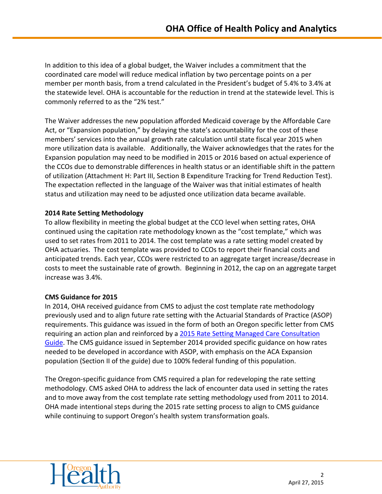In addition to this idea of a global budget, the Waiver includes a commitment that the coordinated care model will reduce medical inflation by two percentage points on a per member per month basis, from a trend calculated in the President's budget of 5.4% to 3.4% at the statewide level. OHA is accountable for the reduction in trend at the statewide level. This is commonly referred to as the "2% test."

The Waiver addresses the new population afforded Medicaid coverage by the Affordable Care Act, or "Expansion population," by delaying the state's accountability for the cost of these members' services into the annual growth rate calculation until state fiscal year 2015 when more utilization data is available. Additionally, the Waiver acknowledges that the rates for the Expansion population may need to be modified in 2015 or 2016 based on actual experience of the CCOs due to demonstrable differences in health status or an identifiable shift in the pattern of utilization (Attachment H: Part III, Section B Expenditure Tracking for Trend Reduction Test). The expectation reflected in the language of the Waiver was that initial estimates of health status and utilization may need to be adjusted once utilization data became available.

## **2014 Rate Setting Methodology**

To allow flexibility in meeting the global budget at the CCO level when setting rates, OHA continued using the capitation rate methodology known as the "cost template," which was used to set rates from 2011 to 2014. The cost template was a rate setting model created by OHA actuaries. The cost template was provided to CCOs to report their financial costs and anticipated trends. Each year, CCOs were restricted to an aggregate target increase/decrease in costs to meet the sustainable rate of growth. Beginning in 2012, the cap on an aggregate target increase was 3.4%.

## **CMS Guidance for 2015**

In 2014, OHA received guidance from CMS to adjust the cost template rate methodology previously used and to align future rate setting with the Actuarial Standards of Practice (ASOP) requirements. This guidance was issued in the form of both an Oregon specific letter from CMS requiring an action plan and reinforced by a [2015 Rate Setting Managed Care Consultation](http://medicaid.gov/medicaid-chip-program-information/by-topics/delivery-systems/managed-care/downloads/2015-medicaid-manged-care-rate-guidance.pdf)  [Guide.](http://medicaid.gov/medicaid-chip-program-information/by-topics/delivery-systems/managed-care/downloads/2015-medicaid-manged-care-rate-guidance.pdf) The CMS guidance issued in September 2014 provided specific guidance on how rates needed to be developed in accordance with ASOP, with emphasis on the ACA Expansion population (Section II of the guide) due to 100% federal funding of this population.

The Oregon-specific guidance from CMS required a plan for redeveloping the rate setting methodology. CMS asked OHA to address the lack of encounter data used in setting the rates and to move away from the cost template rate setting methodology used from 2011 to 2014. OHA made intentional steps during the 2015 rate setting process to align to CMS guidance while continuing to support Oregon's health system transformation goals.

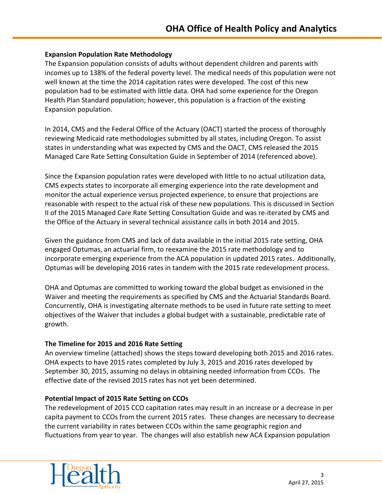#### **Expansion Population Rate Methodology**

The Expansion population consists of adults without dependent children and parents with incomes up to 138% of the federal poverty level. The medical needs of this population were not well known at the time the 2014 capitation rates were developed. The cost of this new population had to be estimated with little data. OHA had some experience for the Oregon Health Plan Standard population; however, this population is a fraction of the existing Expansion population.

In 2014, CMS and the Federal Office of the Actuary (OACT) started the process of thoroughly reviewing Medicaid rate methodologies submitted by all states, including Oregon. To assist states in understanding what was expected by CMS and the OACT, CMS released the 2015 Managed Care Rate Setting Consultation Guide in September of 2014 (referenced above).

Since the Expansion population rates were developed with little to no actual utilization data, CMS expects states to incorporate all emerging experience into the rate development and monitor the actual experience versus projected experience, to ensure that projections are reasonable with respect to the actual risk of these new populations. This is discussed in Section II of the 2015 Managed Care Rate Setting Consultation Guide and was re-iterated by CMS and the Office of the Actuary in several technical assistance calls in both 2014 and 2015.

Given the guidance from CMS and lack of data available in the initial 2015 rate setting, OHA engaged Optumas, an actuarial firm, to reexamine the 2015 rate methodology and to incorporate emerging experience from the ACA population in updated 2015 rates. Additionally, Optumas will be developing 2016 rates in tandem with the 2015 rate redevelopment process.

OHA and Optumas are committed to working toward the global budget as envisioned in the Waiver and meeting the requirements as specified by CMS and the Actuarial Standards Board. Concurrently, OHA is investigating alternate methods to be used in future rate setting to meet objectives of the Waiver that includes a global budget with a sustainable, predictable rate of growth.

## **The Timeline for 2015 and 2016 Rate Setting**

An overview timeline (attached) shows the steps toward developing both 2015 and 2016 rates. OHA expects to have 2015 rates completed by July 3, 2015 and 2016 rates developed by September 30, 2015, assuming no delays in obtaining needed information from CCOs. The effective date of the revised 2015 rates has not yet been determined.

## **Potential Impact of 2015 Rate Setting on CCOs**

The redevelopment of 2015 CCO capitation rates may result in an increase or a decrease in per capita payment to CCOs from the current 2015 rates. These changes are necessary to decrease the current variability in rates between CCOs within the same geographic region and fluctuations from year to year. The changes will also establish new ACA Expansion population

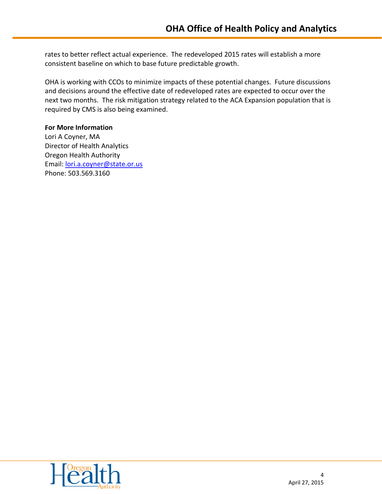rates to better reflect actual experience. The redeveloped 2015 rates will establish a more consistent baseline on which to base future predictable growth.

OHA is working with CCOs to minimize impacts of these potential changes. Future discussions and decisions around the effective date of redeveloped rates are expected to occur over the next two months. The risk mitigation strategy related to the ACA Expansion population that is required by CMS is also being examined.

#### **For More Information**

Lori A Coyner, MA Director of Health Analytics Oregon Health Authority Email: [lori.a.coyner@state.or.us](mailto:lori.a.coyner@state.or.us) Phone: 503.569.3160